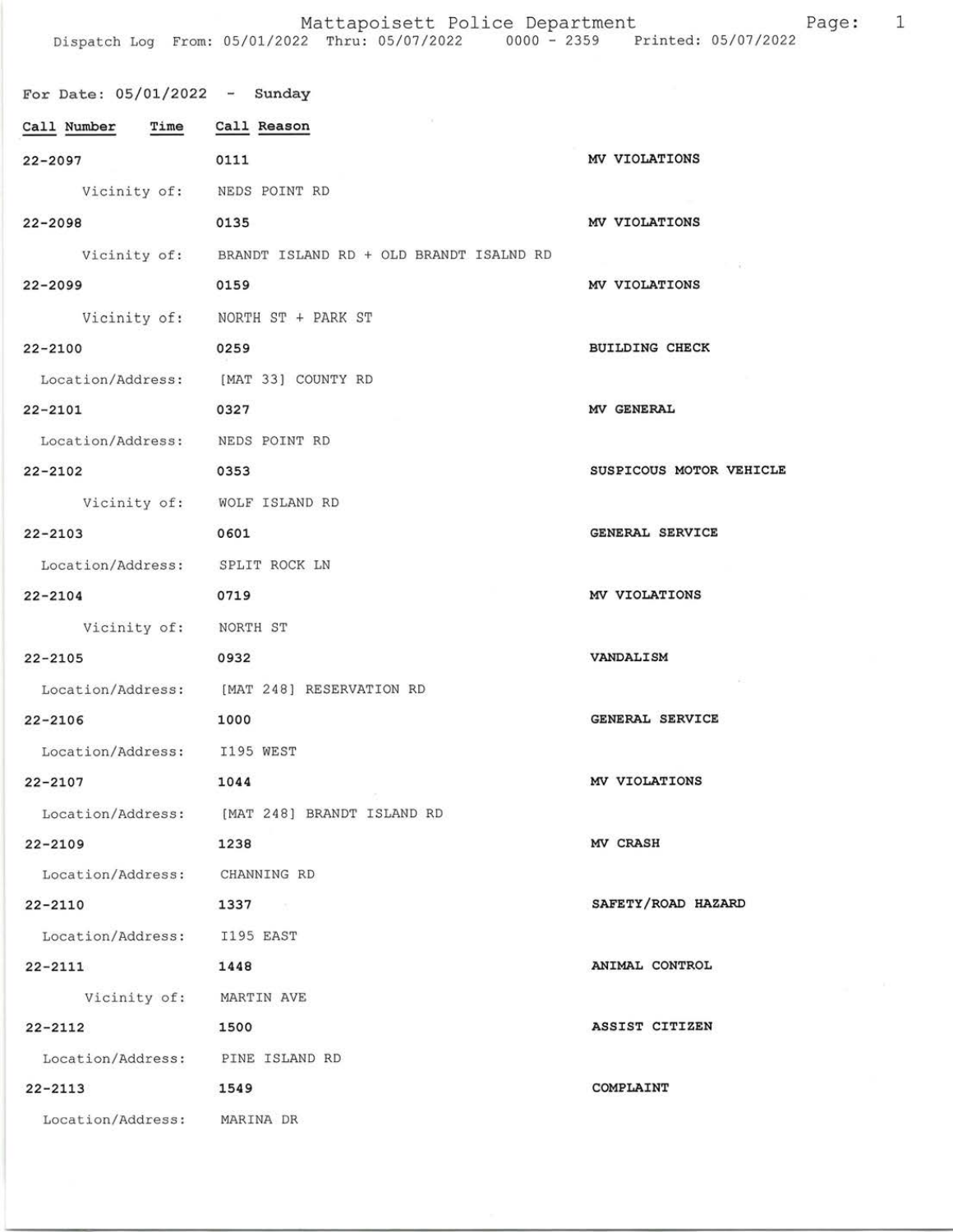Mattapoisett Police Department entry Page: 1

| For Date: $05/01/2022 -$ Sunday      |                                                      |                         |
|--------------------------------------|------------------------------------------------------|-------------------------|
| Call Number Time Call Reason         |                                                      |                         |
| 22-2097                              | 0111                                                 | MV VIOLATIONS           |
| Vicinity of: NEDS POINT RD           |                                                      |                         |
| 22-2098                              | 0135                                                 | MV VIOLATIONS           |
|                                      | Vicinity of: BRANDT ISLAND RD + OLD BRANDT ISALND RD |                         |
| 22-2099                              | 0159                                                 | MV VIOLATIONS           |
|                                      | Vicinity of: NORTH ST + PARK ST                      |                         |
| 22-2100                              | 0259                                                 | <b>BUILDING CHECK</b>   |
| Location/Address: [MAT 33] COUNTY RD |                                                      |                         |
| 22-2101                              | 0327                                                 | MV GENERAL              |
| Location/Address: NEDS POINT RD      |                                                      |                         |
| 22-2102 0353                         |                                                      | SUSPICOUS MOTOR VEHICLE |
|                                      | Vicinity of: WOLF ISLAND RD                          |                         |
| 22-2103                              | 0601                                                 | GENERAL SERVICE         |
| Location/Address: SPLIT ROCK LN      |                                                      |                         |
| 22-2104                              | 0719                                                 | MV VIOLATIONS           |
| Vicinity of: NORTH ST                |                                                      |                         |
| 22-2105                              | 0932                                                 | VANDALISM               |
|                                      | Location/Address: [MAT 248] RESERVATION RD           |                         |
| $22 - 2106$                          | 1000                                                 | <b>GENERAL SERVICE</b>  |
| Location/Address: I195 WEST          |                                                      |                         |
| $22 - 2107$                          | 1044                                                 | MV VIOLATIONS           |
|                                      | Location/Address: [MAT 248] BRANDT ISLAND RD         |                         |
| 22-2109                              | 1238                                                 | MV CRASH                |
| Location/Address: CHANNING RD        |                                                      |                         |
| $22 - 2110$                          | 1337                                                 | SAFETY/ROAD HAZARD      |
| Location/Address: I195 EAST          |                                                      |                         |
| 22-2111                              | 1448                                                 | ANIMAL CONTROL          |
| Vicinity of: MARTIN AVE              |                                                      |                         |
| $22 - 2112$                          | 1500                                                 | ASSIST CITIZEN          |
| Location/Address: PINE ISLAND RD     |                                                      |                         |
| $22 - 2113$<br>1549                  |                                                      | COMPLAINT               |
| Location/Address: MARINA DR          |                                                      |                         |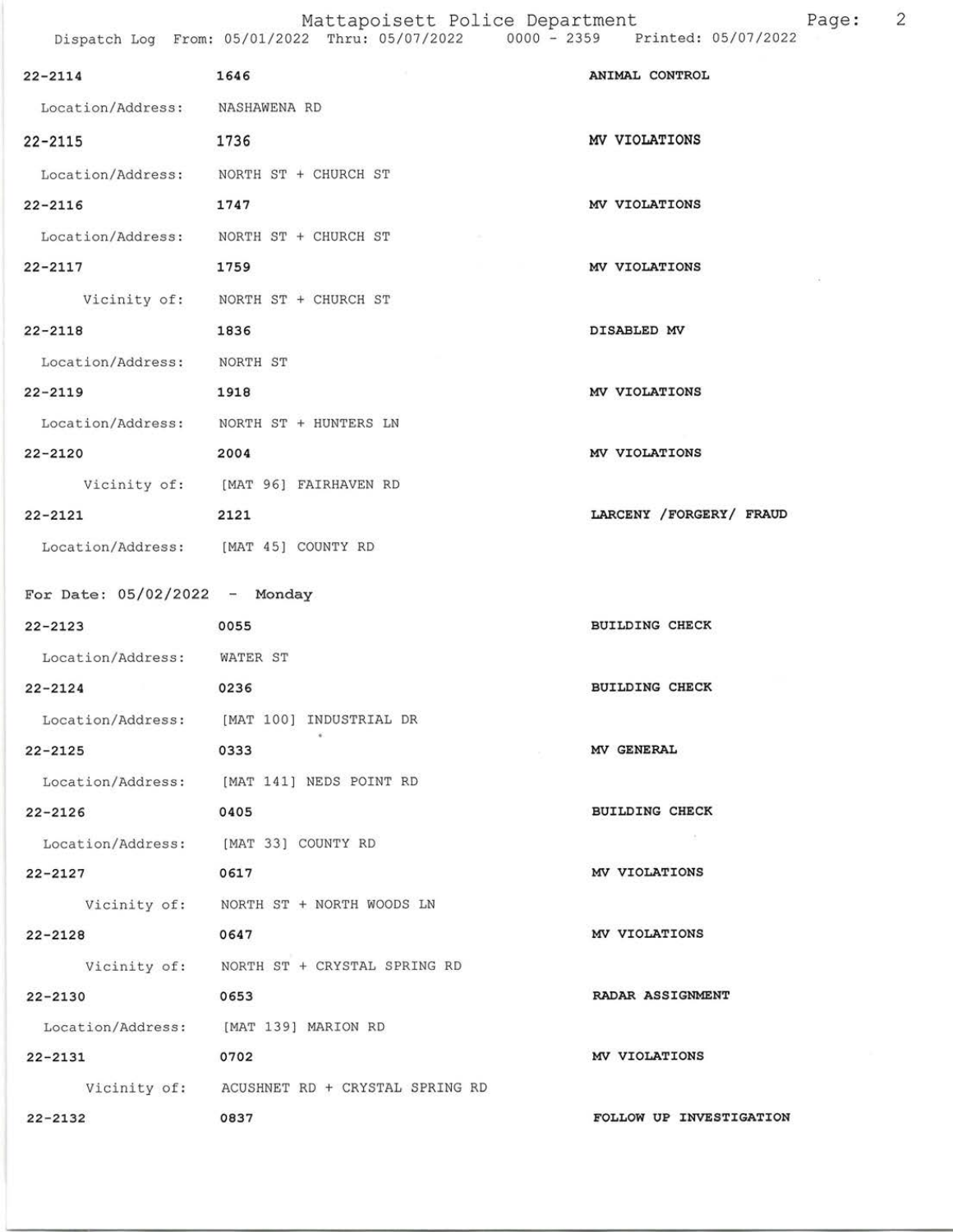| $22 - 2114$ 1646                     |                                              | ANIMAL CONTROL          |
|--------------------------------------|----------------------------------------------|-------------------------|
| Location/Address: NASHAWENA RD       |                                              |                         |
| $22 - 2115$                          | 1736                                         | MV VIOLATIONS           |
|                                      | Location/Address: NORTH ST + CHURCH ST       |                         |
| 22-2116 1747                         |                                              | MV VIOLATIONS           |
|                                      | Location/Address: NORTH ST + CHURCH ST       |                         |
| $22 - 2117$                          | 1759                                         | MV VIOLATIONS           |
|                                      | Vicinity of: NORTH ST + CHURCH ST            |                         |
| $22 - 2118$                          | 1836                                         | DISABLED MV             |
| Location/Address: NORTH ST           |                                              |                         |
| 22-2119 1918                         |                                              | MV VIOLATIONS           |
|                                      | Location/Address: NORTH ST + HUNTERS LN      |                         |
| $22 - 2120$                          | 2004                                         | MV VIOLATIONS           |
|                                      | Vicinity of: [MAT 96] FAIRHAVEN RD           |                         |
| 22-2121 2121                         |                                              | LARCENY /FORGERY/ FRAUD |
| Location/Address: [MAT 45] COUNTY RD |                                              |                         |
| For Date: $05/02/2022 -$ Monday      |                                              |                         |
| $22 - 2123$                          | 0055                                         | <b>BUILDING CHECK</b>   |
| Location/Address: WATER ST           |                                              |                         |
| $22 - 2124$                          | 0236                                         | BUILDING CHECK          |
|                                      | Location/Address: [MAT 100] INDUSTRIAL DR    |                         |
| 22-2125                              | 0333                                         | MV GENERAL              |
|                                      | Location/Address: [MAT 141] NEDS POINT RD    |                         |
| $22 - 2126$                          | 0405                                         | <b>BUILDING CHECK</b>   |
| Location/Address: [MAT 33] COUNTY RD |                                              |                         |
| $22 - 2127$                          | 0617                                         | MV VIOLATIONS           |
|                                      | Vicinity of: NORTH ST + NORTH WOODS LN       |                         |
| $22 - 2128$                          | 0647                                         | MV VIOLATIONS           |
|                                      | Vicinity of: NORTH ST + CRYSTAL SPRING RD    |                         |
| 22-2130                              | 0653                                         | RADAR ASSIGNMENT        |
|                                      | Location/Address: [MAT 139] MARION RD        |                         |
| 22-2131                              | 0702                                         | MV VIOLATIONS           |
|                                      | Vicinity of: ACUSHNET RD + CRYSTAL SPRING RD |                         |
| $22 - 2132$                          | 0837                                         | FOLLOW UP INVESTIGATION |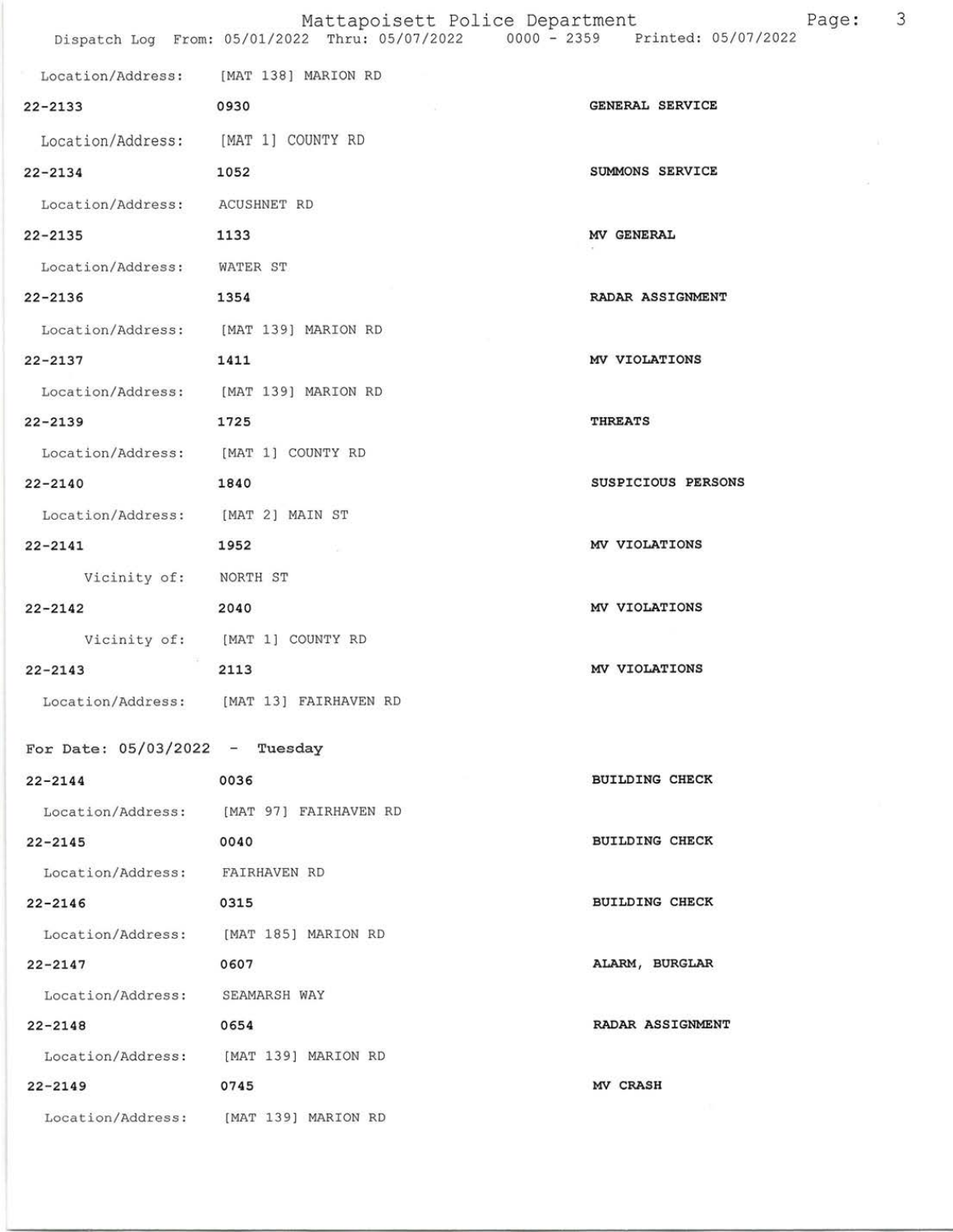## Mattapoisett Police Department Page: 3 Dispatch Log From: 05/01/2022 Thru: 05/07/2022 0000 - 2359 Printed: 05/07/2022

| Location/Address: [MAT 138] MARION RD |                                         |                       |
|---------------------------------------|-----------------------------------------|-----------------------|
| 22-2133                               | 0930                                    | GENERAL SERVICE       |
| Location/Address: [MAT 1] COUNTY RD   |                                         |                       |
| 1052<br>$22 - 2134$                   |                                         | SUMMONS SERVICE       |
| Location/Address: ACUSHNET RD         |                                         |                       |
| 22-2135                               | 1133                                    | MV GENERAL            |
| Location/Address: WATER ST            |                                         |                       |
| $22 - 2136$<br>1354                   |                                         | RADAR ASSIGNMENT      |
| Location/Address: [MAT 139] MARION RD |                                         |                       |
| 1411<br>$22 - 2137$                   |                                         | MV VIOLATIONS         |
| Location/Address: [MAT 139] MARION RD |                                         |                       |
| $22 - 2139$                           | 1725                                    | <b>THREATS</b>        |
| Location/Address: [MAT 1] COUNTY RD   |                                         |                       |
| $22 - 2140$                           | 1840                                    | SUSPICIOUS PERSONS    |
| Location/Address: [MAT 2] MAIN ST     |                                         |                       |
| 1952<br>$22 - 2141$                   |                                         | MV VIOLATIONS         |
| Vicinity of: NORTH ST                 |                                         |                       |
| $22 - 2142$                           | 2040                                    | MV VIOLATIONS         |
|                                       | Vicinity of: [MAT 1] COUNTY RD          |                       |
| $22 - 2143$                           | 2113                                    | MV VIOLATIONS         |
|                                       | Location/Address: [MAT 13] FAIRHAVEN RD |                       |
| For Date: $05/03/2022 - Tuesday$      |                                         |                       |
| $22 - 2144$                           | 0036                                    | <b>BUILDING CHECK</b> |
|                                       | Location/Address: [MAT 97] FAIRHAVEN RD |                       |
| $22 - 2145$                           | 0040                                    | <b>BUILDING CHECK</b> |
| Location/Address: FAIRHAVEN RD        |                                         |                       |
| $22 - 2146$                           | 0315                                    | <b>BUILDING CHECK</b> |
| Location/Address: [MAT 185] MARION RD |                                         |                       |
| $22 - 2147$                           | 0607                                    | ALARM, BURGLAR        |
| Location/Address: SEAMARSH WAY        |                                         |                       |
| $22 - 2148$                           | 0654                                    | RADAR ASSIGNMENT      |
|                                       | Location/Address: [MAT 139] MARION RD   |                       |
| $22 - 2149$                           | 0745                                    | MV CRASH              |
|                                       | Location/Address: [MAT 139] MARION RD   |                       |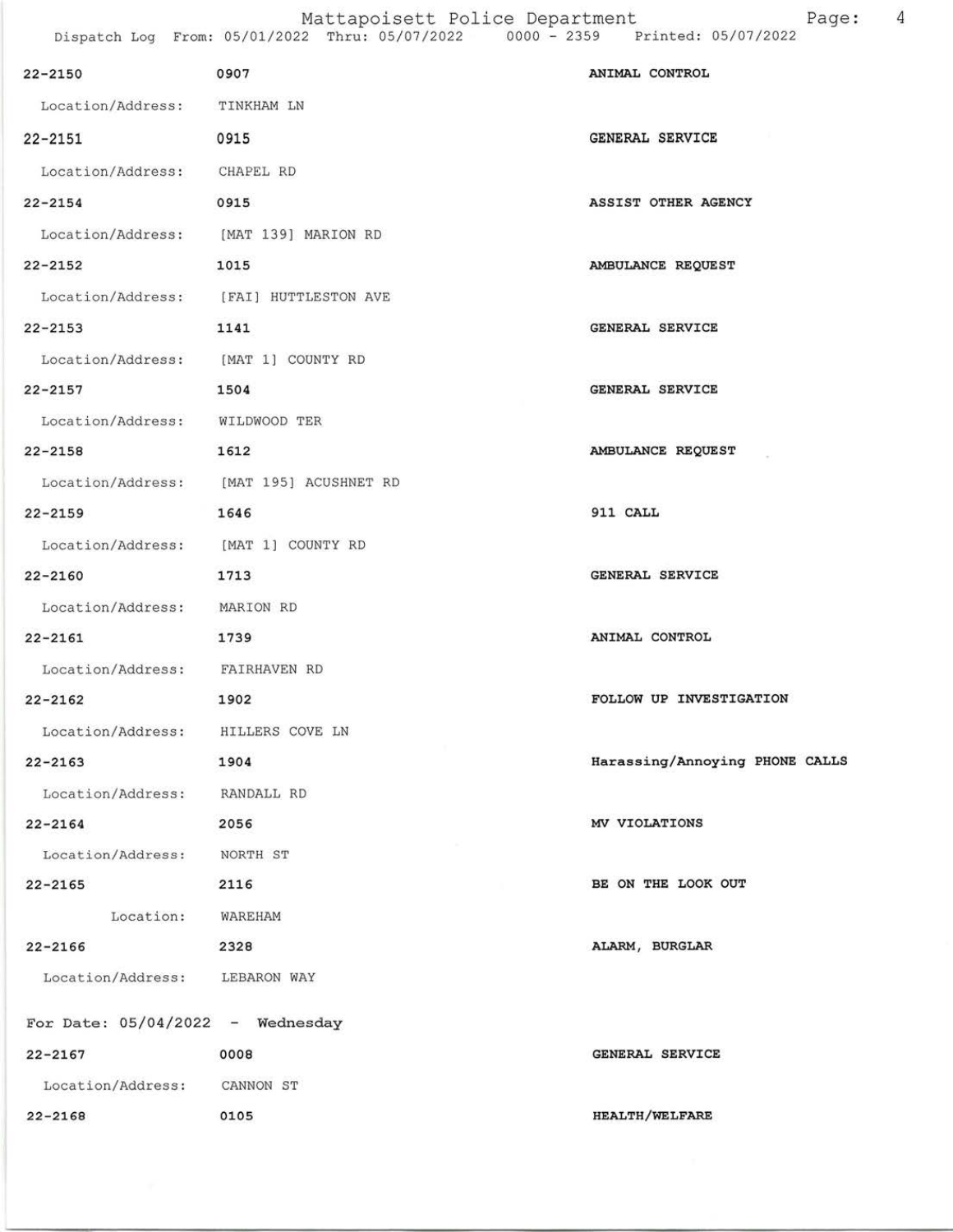## Mattapoisett Police Department Page: 4

Dispatch Log From: 05/0L/2022 Thru: 05/0'l/2022 0000 - 2359 Printedt 05/01/2022

| $22 - 2150$                           | 0907                                    | ANIMAL CONTROL                 |
|---------------------------------------|-----------------------------------------|--------------------------------|
| Location/Address: TINKHAM LN          |                                         |                                |
| $22 - 2151$                           | 0915                                    | <b>GENERAL SERVICE</b>         |
| Location/Address: CHAPEL RD           |                                         |                                |
| $22 - 2154$                           | 0915                                    | ASSIST OTHER AGENCY            |
| Location/Address: [MAT 139] MARION RD |                                         |                                |
| $22 - 2152$                           | 1015                                    | AMBULANCE REQUEST              |
|                                       | Location/Address: [FAI] HUTTLESTON AVE  |                                |
| $22 - 2153$                           | 1141                                    | <b>GENERAL SERVICE</b>         |
| Location/Address: [MAT 1] COUNTY RD   |                                         |                                |
| $22 - 2157$                           | 1504                                    | <b>GENERAL SERVICE</b>         |
| Location/Address: WILDWOOD TER        |                                         |                                |
| $22 - 2158$                           | 1612                                    | AMBULANCE REQUEST              |
|                                       | Location/Address: [MAT 195] ACUSHNET RD |                                |
| $22 - 2159$                           | 1646                                    | 911 CALL                       |
| Location/Address: [MAT 1] COUNTY RD   |                                         |                                |
| $22 - 2160$                           | 1713                                    | GENERAL SERVICE                |
| Location/Address: MARION RD           |                                         |                                |
| $22 - 2161$                           | 1739                                    | ANIMAL CONTROL                 |
| Location/Address: FAIRHAVEN RD        |                                         |                                |
| $22 - 2162$                           | 1902                                    | FOLLOW UP INVESTIGATION        |
| Location/Address: HILLERS COVE LN     |                                         |                                |
| $22 - 2163$                           | 1904                                    | Harassing/Annoying PHONE CALLS |
| Location/Address: RANDALL RD          |                                         |                                |
| $22 - 2164$                           | 2056                                    | MV VIOLATIONS                  |
| Location/Address: NORTH ST            |                                         |                                |
| $22 - 2165$                           | 2116                                    | BE ON THE LOOK OUT             |
| Location: WAREHAM                     |                                         |                                |
| $22 - 2166$                           | 2328                                    | ALARM, BURGLAR                 |
| Location/Address: LEBARON WAY         |                                         |                                |
| For Date: $05/04/2022 -$ Wednesday    |                                         |                                |
| $22 - 2167$                           | 0008                                    | GENERAL SERVICE                |
| Location/Address: CANNON ST           |                                         |                                |
| $22 - 2168$                           | 0105                                    | <b>HEALTH/WELFARE</b>          |
|                                       |                                         |                                |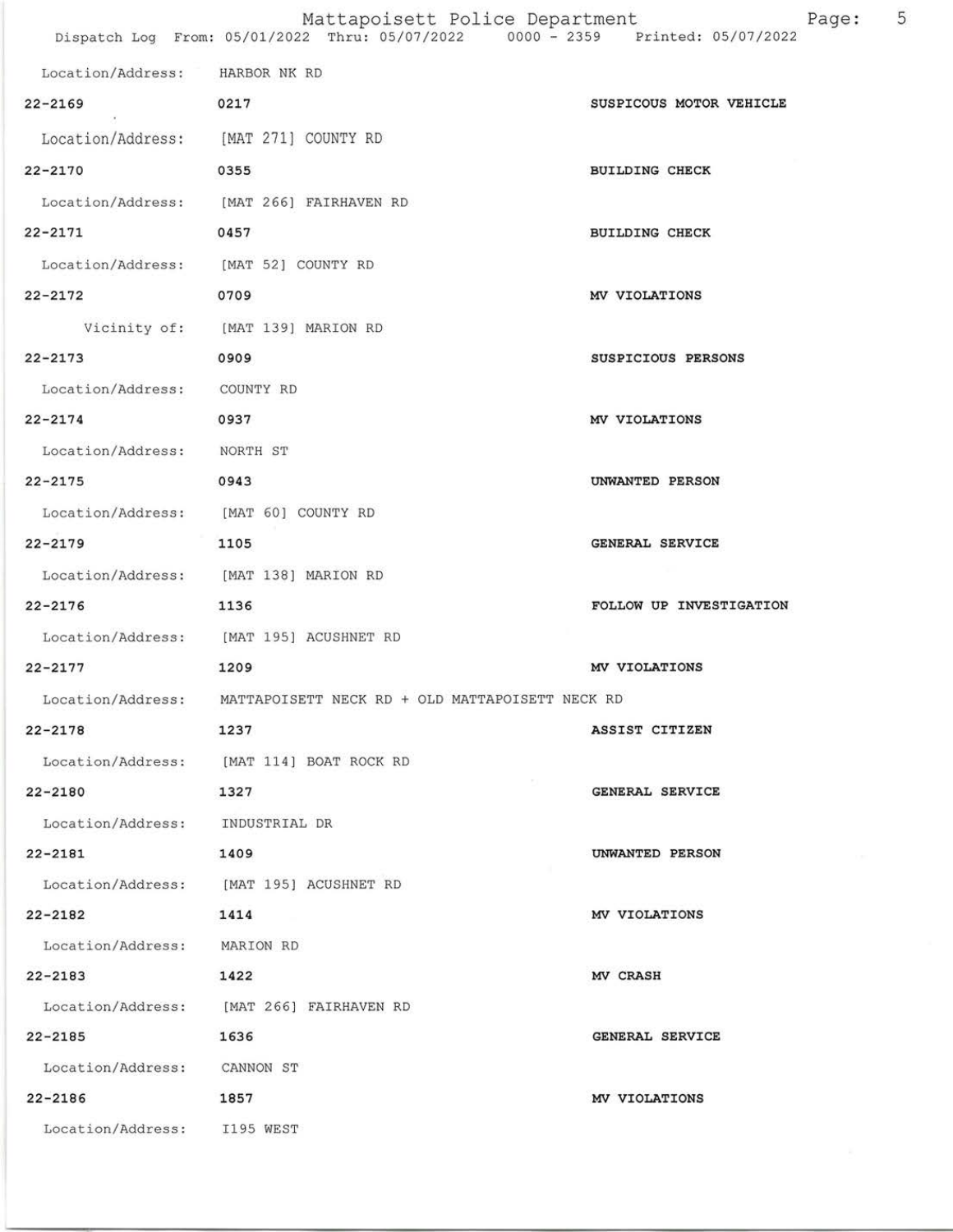|                   | Mattapoisett Police Department<br>Dispatch Log From: 05/01/2022 Thru: 05/07/2022 0000 - 2359 | Page:<br>Printed: 05/07/2022 | 5 |
|-------------------|----------------------------------------------------------------------------------------------|------------------------------|---|
|                   |                                                                                              |                              |   |
| Location/Address: | HARBOR NK RD                                                                                 |                              |   |
| $22 - 2169$       | 0217                                                                                         | SUSPICOUS MOTOR VEHICLE      |   |
| Location/Address: | [MAT 271] COUNTY RD                                                                          |                              |   |
| $22 - 2170$       | 0355                                                                                         | <b>BUILDING CHECK</b>        |   |
| Location/Address: | [MAT 266] FAIRHAVEN RD                                                                       |                              |   |
| $22 - 2171$       | 0457                                                                                         | <b>BUILDING CHECK</b>        |   |
| Location/Address: | [MAT 52] COUNTY RD                                                                           |                              |   |
| $22 - 2172$       | 0709                                                                                         | MV VIOLATIONS                |   |

Vicinity of: [MAT 139] MARION RD

- 22-2L73
- Location/Address: COUNTY RD

0909

22-2L7 4 0937

Location/Address: NoRTH ST

- 22-2t75 0943
- Location/Address: IMAT 60] COUNTY RD
- 22-2L79 1105
- Location/Address: [MAT 138] MARION RD
- 22-2176 1136
- Location/Address: [MAT 195] ACUSHNET RD
- 22-2L77 1209
- Location/Address: MATTAPOISETT NECK RD + OLD MATTAPOISETT NECK RD
- 22-2178 L237
- Location/Address: [MAT 114] BOAT ROCK RD
- 22-2L80 7327
- Location/Address: INDUSTRIAL DR
- 22-2181 1409
- Location/Address: IMAT 195] ACUSHNET RD
- 22-2182 1414
- 
- Location/Address: MARION RD
- 22-2L83 L422
- Location/Address: IMAT 266] FAIRHAVEN RD
- 
- 22-2t85 1636
- Location/Address: CANNON ST
- 
- 22-2L86 1857
	- Location/Address: I195 WEST
- 

GENERAI. SERVICE

MV VIOI.ATTONS

ASSIST CITIZEN

SUSPICIOUS PERSONS

MV VIOLATIONS

UNWANTED PERSON

GENERAL SERVICE

FOLLOW UP INVESTIGATION

- UNWANTED PERSON
- MV VIOLATIONS
- MV CRASH
- GENERAI SERVICE
- MV VIOLATIONS
	-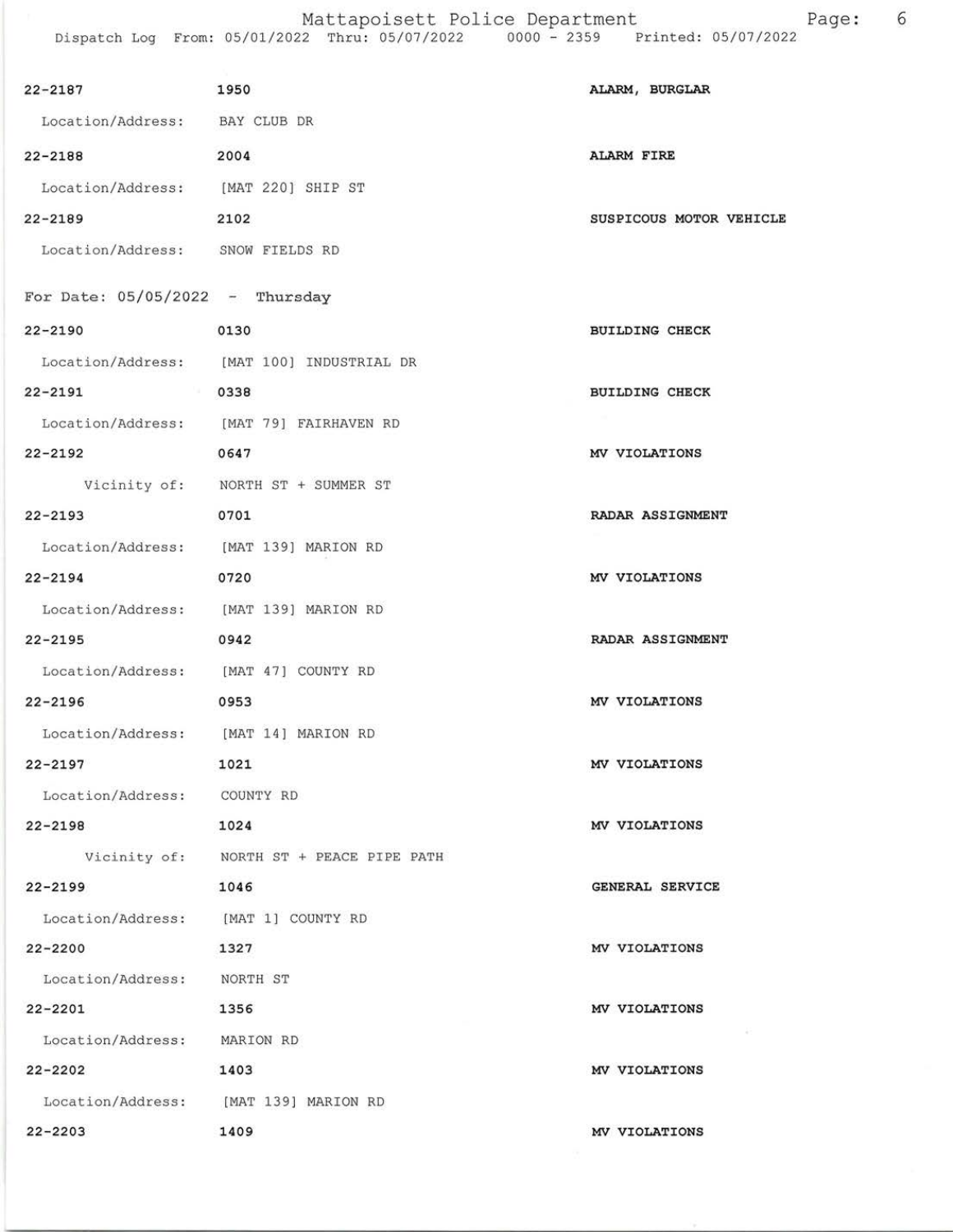Mattapoisett Police Department Page: 6 Dispatch Log From: 05/07/2022 Thru: 05/07/2022 0000 - 2359 Printed: 05/07/2022

| $22 - 2187$                          | 1950                                      | ALARM, BURGLAR          |
|--------------------------------------|-------------------------------------------|-------------------------|
| Location/Address: BAY CLUB DR        |                                           |                         |
| $22 - 2188$                          | 2004                                      | <b>ALARM FIRE</b>       |
| Location/Address: [MAT 220] SHIP ST  |                                           |                         |
| $22 - 2189$                          | 2102                                      | SUSPICOUS MOTOR VEHICLE |
| Location/Address: SNOW FIELDS RD     |                                           |                         |
|                                      |                                           |                         |
| For Date: $05/05/2022 -$ Thursday    |                                           |                         |
| $22 - 2190$                          | 0130                                      | <b>BUILDING CHECK</b>   |
|                                      | Location/Address: [MAT 100] INDUSTRIAL DR |                         |
| 22-2191 0338                         |                                           | <b>BUILDING CHECK</b>   |
|                                      | Location/Address: [MAT 79] FAIRHAVEN RD   |                         |
| $22 - 2192$                          | 0647                                      | MV VIOLATIONS           |
|                                      | Vicinity of: NORTH ST + SUMMER ST         |                         |
| $22 - 2193$                          | 0701                                      | RADAR ASSIGNMENT        |
|                                      | Location/Address: [MAT 139] MARION RD     |                         |
| $22 - 2194$                          | 0720                                      | MV VIOLATIONS           |
|                                      | Location/Address: [MAT 139] MARION RD     |                         |
| $22 - 2195$                          | 0942                                      | RADAR ASSIGNMENT        |
| Location/Address: [MAT 47] COUNTY RD |                                           |                         |
| $22 - 2196$                          | 0953                                      | MV VIOLATIONS           |
| Location/Address: [MAT 14] MARION RD |                                           |                         |
| $22 - 2197$                          | 1021                                      | MV VIOLATIONS           |
| Location/Address: COUNTY RD          |                                           |                         |
| $22 - 2198$<br>1024                  |                                           | MV VIOLATIONS           |
|                                      | Vicinity of: NORTH ST + PEACE PIPE PATH   |                         |
| $22 - 2199$                          | 1046                                      | GENERAL SERVICE         |
| Location/Address: [MAT 1] COUNTY RD  |                                           |                         |
| 22-2200                              | 1327                                      | MV VIOLATIONS           |
| Location/Address: NORTH ST           |                                           |                         |
| 22-2201                              | 1356                                      | MV VIOLATIONS           |
| Location/Address: MARION RD          |                                           |                         |
| $22 - 2202$                          | 1403                                      | MV VIOLATIONS           |
|                                      | Location/Address: [MAT 139] MARION RD     |                         |
| $22 - 2203$                          | 1409                                      | MV VIOLATIONS           |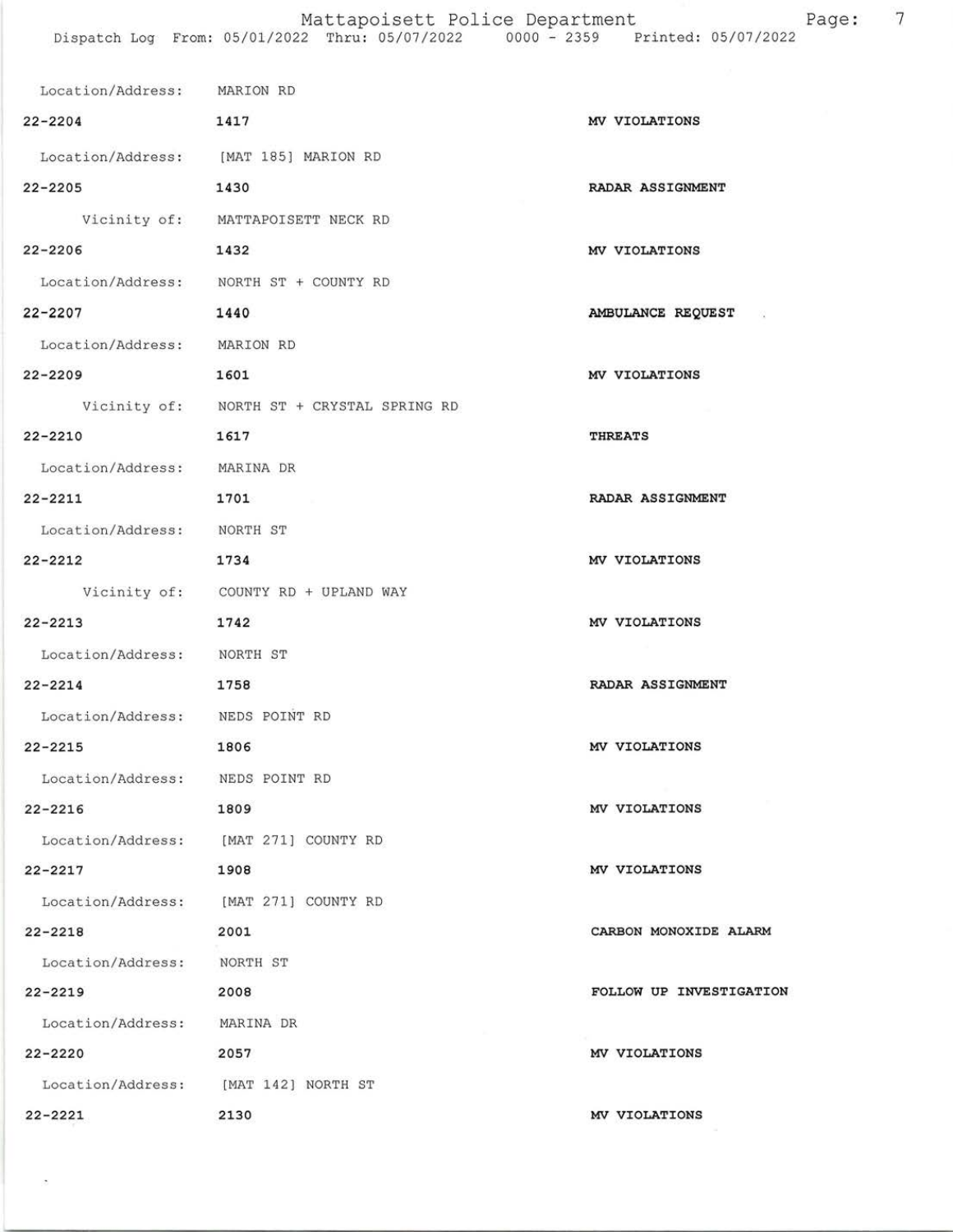## Mattapoisett Police Department Page: 7 Dispatch Log From: 05/01/2022 Thru: 05/07/2022 0000 - 2359 Printed: 05/07/2022

| Location/Address: MARION RD     |                                           |                           |
|---------------------------------|-------------------------------------------|---------------------------|
| $22 - 2204$                     | 1417                                      | MV VIOLATIONS             |
|                                 | Location/Address: [MAT 185] MARION RD     |                           |
| $22 - 2205$                     | 1430                                      | RADAR ASSIGNMENT          |
|                                 | Vicinity of: MATTAPOISETT NECK RD         |                           |
| $22 - 2206$                     | 1432                                      | MV VIOLATIONS             |
|                                 | Location/Address: NORTH ST + COUNTY RD    |                           |
| $22 - 2207$                     | 1440                                      | AMBULANCE REQUEST<br>- 32 |
| Location/Address: MARION RD     |                                           |                           |
| $22 - 2209$                     | 1601                                      | MV VIOLATIONS             |
|                                 | Vicinity of: NORTH ST + CRYSTAL SPRING RD |                           |
| $22 - 2210$                     | 1617                                      | <b>THREATS</b>            |
| Location/Address: MARINA DR     |                                           |                           |
| $22 - 2211$                     | 1701                                      | RADAR ASSIGNMENT          |
| Location/Address: NORTH ST      |                                           |                           |
| $22 - 2212$                     | 1734                                      | MV VIOLATIONS             |
|                                 | Vicinity of: COUNTY RD + UPLAND WAY       |                           |
| $22 - 2213$                     | 1742                                      | MV VIOLATIONS             |
| Location/Address: NORTH ST      |                                           |                           |
| $22 - 2214$                     | 1758                                      | RADAR ASSIGNMENT          |
| Location/Address: NEDS POINT RD |                                           |                           |
| $22 - 2215$                     | 1806                                      | MV VIOLATIONS             |
| Location/Address: NEDS POINT RD |                                           |                           |
| $22 - 2216$                     | 1809                                      | MV VIOLATIONS             |
|                                 | Location/Address: [MAT 271] COUNTY RD     |                           |
| $22 - 2217$                     | 1908                                      | MV VIOLATIONS             |
| Location/Address:               | [MAT 271] COUNTY RD                       |                           |
| $22 - 2218$                     | 2001                                      | CARBON MONOXIDE ALARM     |
| Location/Address:               | NORTH ST                                  |                           |
| $22 - 2219$                     | 2008                                      | FOLLOW UP INVESTIGATION   |
| Location/Address: MARINA DR     |                                           |                           |
| $22 - 2220$                     | 2057                                      | MV VIOLATIONS             |
|                                 | Location/Address: [MAT 142] NORTH ST      |                           |
| $22 - 2221$                     | 2130                                      | MV VIOLATIONS             |

Ø.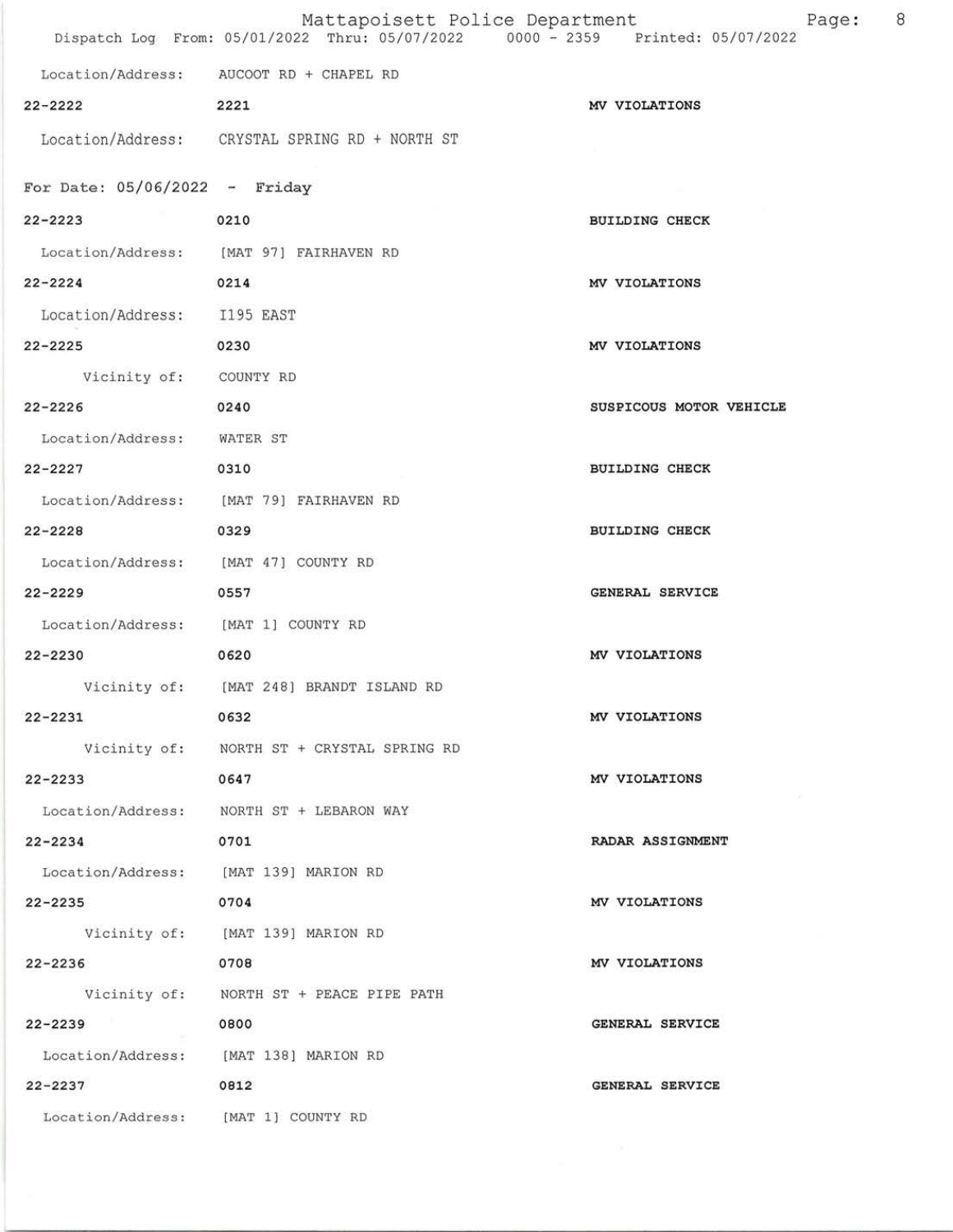|                                       | Mattapoisett Police Department<br>Dispatch Log From: 05/01/2022 Thru: 05/07/2022 0000 - 2359 Printed: 05/07/2022 | 8<br>Page:              |
|---------------------------------------|------------------------------------------------------------------------------------------------------------------|-------------------------|
|                                       | Location/Address: AUCOOT RD + CHAPEL RD                                                                          |                         |
| $22 - 2222$                           | 2221                                                                                                             | MV VIOLATIONS           |
|                                       | Location/Address: CRYSTAL SPRING RD + NORTH ST                                                                   |                         |
| For Date: $05/06/2022 -$ Friday       |                                                                                                                  |                         |
| $22 - 2223$                           | 0210                                                                                                             | <b>BUILDING CHECK</b>   |
|                                       | Location/Address: [MAT 97] FAIRHAVEN RD                                                                          |                         |
| $22 - 2224$                           | 0214                                                                                                             | MV VIOLATIONS           |
| Location/Address: I195 EAST           |                                                                                                                  |                         |
| $22 - 2225$                           | 0230                                                                                                             | MV VIOLATIONS           |
| Vicinity of: COUNTY RD                |                                                                                                                  |                         |
| $22 - 2226$                           | 0240                                                                                                             | SUSPICOUS MOTOR VEHICLE |
| Location/Address: WATER ST            |                                                                                                                  |                         |
| $22 - 2227$                           | 0310                                                                                                             | <b>BUILDING CHECK</b>   |
|                                       | Location/Address: [MAT 79] FAIRHAVEN RD                                                                          |                         |
| $22 - 2228$                           | 0329                                                                                                             | <b>BUILDING CHECK</b>   |
| Location/Address: [MAT 47] COUNTY RD  |                                                                                                                  |                         |
| $22 - 2229$                           | 0557                                                                                                             | <b>GENERAL SERVICE</b>  |
| Location/Address: [MAT 1] COUNTY RD   |                                                                                                                  |                         |
| $22 - 2230$                           | 0620                                                                                                             | MV VIOLATIONS           |
|                                       | Vicinity of: [MAT 248] BRANDT ISLAND RD                                                                          |                         |
| $22 - 2231$                           | 0632                                                                                                             | MV VIOLATIONS           |
|                                       | Vicinity of: NORTH ST + CRYSTAL SPRING RD                                                                        |                         |
| $22 - 2233$                           | 0647                                                                                                             | MV VIOLATIONS           |
|                                       | Location/Address: NORTH ST + LEBARON WAY                                                                         |                         |
| $22 - 2234$                           | 0701                                                                                                             | RADAR ASSIGNMENT        |
| Location/Address: [MAT 139] MARION RD |                                                                                                                  |                         |
| $22 - 2235$                           | 0704                                                                                                             | MV VIOLATIONS           |
|                                       | Vicinity of: [MAT 139] MARION RD                                                                                 |                         |
| $22 - 2236$                           | 0708                                                                                                             | MV VIOLATIONS           |
|                                       | Vicinity of: NORTH ST + PEACE PIPE PATH                                                                          |                         |
| $22 - 2239$                           | 0800                                                                                                             | GENERAL SERVICE         |
| Location/Address: [MAT 138] MARION RD |                                                                                                                  |                         |
| $22 - 2237$                           | 0812                                                                                                             | GENERAL SERVICE         |
| Location/Address: [MAT 1] COUNTY RD   |                                                                                                                  |                         |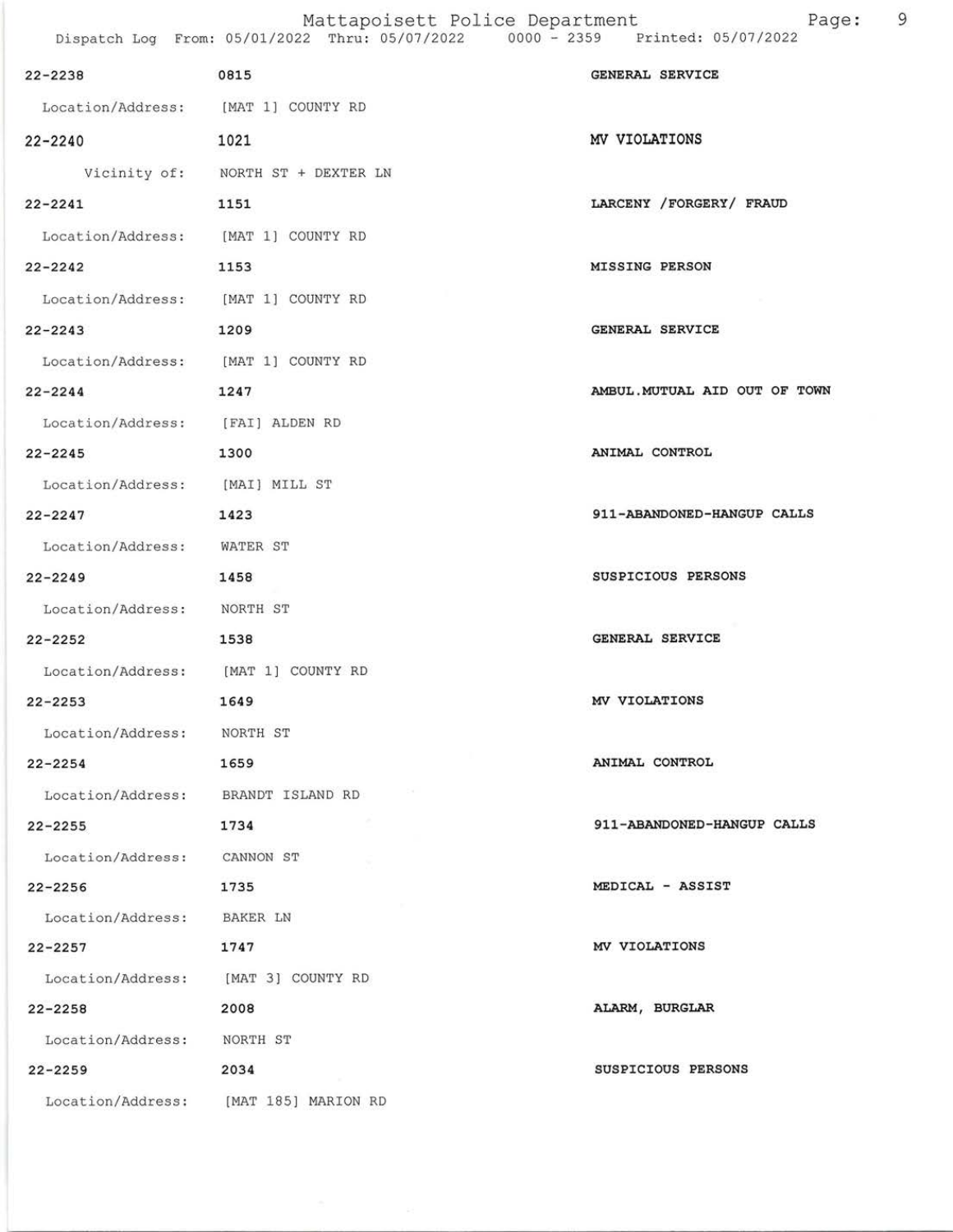| $22 - 2238$                         | 0815                                  | GENERAL SERVICE               |
|-------------------------------------|---------------------------------------|-------------------------------|
| Location/Address: [MAT 1] COUNTY RD |                                       |                               |
| $22 - 2240$                         | 1021                                  | MV VIOLATIONS                 |
|                                     | Vicinity of: NORTH ST + DEXTER LN     |                               |
| $22 - 2241$                         | 1151                                  | LARCENY / FORGERY / FRAUD     |
| Location/Address: [MAT 1] COUNTY RD |                                       |                               |
| $22 - 2242$                         | 1153                                  | <b>MISSING PERSON</b>         |
| Location/Address: [MAT 1] COUNTY RD |                                       |                               |
| $22 - 2243$                         | 1209                                  | GENERAL SERVICE               |
| Location/Address: [MAT 1] COUNTY RD |                                       |                               |
| $22 - 2244$                         | 1247                                  | AMBUL. MUTUAL AID OUT OF TOWN |
| Location/Address: [FAI] ALDEN RD    |                                       |                               |
| $22 - 2245$                         | 1300                                  | ANIMAL CONTROL                |
| Location/Address: [MAI] MILL ST     |                                       |                               |
| $22 - 2247$                         | 1423                                  | 911-ABANDONED-HANGUP CALLS    |
| Location/Address: WATER ST          |                                       |                               |
| $22 - 2249$                         | 1458                                  | SUSPICIOUS PERSONS            |
| Location/Address: NORTH ST          |                                       |                               |
| $22 - 2252$                         | 1538                                  | GENERAL SERVICE               |
| Location/Address: [MAT 1] COUNTY RD |                                       |                               |
| $22 - 2253$                         | 1649                                  | MV VIOLATIONS                 |
| Location/Address: NORTH ST          |                                       |                               |
| $22 - 2254$                         | 1659                                  | ANIMAL CONTROL                |
| Location/Address: BRANDT ISLAND RD  |                                       |                               |
| 22-2255                             | 1734                                  | 911-ABANDONED-HANGUP CALLS    |
| Location/Address: CANNON ST         |                                       |                               |
| 22-2256                             | 1735                                  | MEDICAL - ASSIST              |
| Location/Address:                   | BAKER LN                              |                               |
| 22-2257                             | 1747                                  | MV VIOLATIONS                 |
|                                     | Location/Address: [MAT 3] COUNTY RD   |                               |
| $22 - 2258$                         | 2008                                  | ALARM, BURGLAR                |
| Location/Address:                   | NORTH ST                              |                               |
| $22 - 2259$                         | 2034                                  | SUSPICIOUS PERSONS            |
|                                     | Location/Address: [MAT 185] MARION RD |                               |